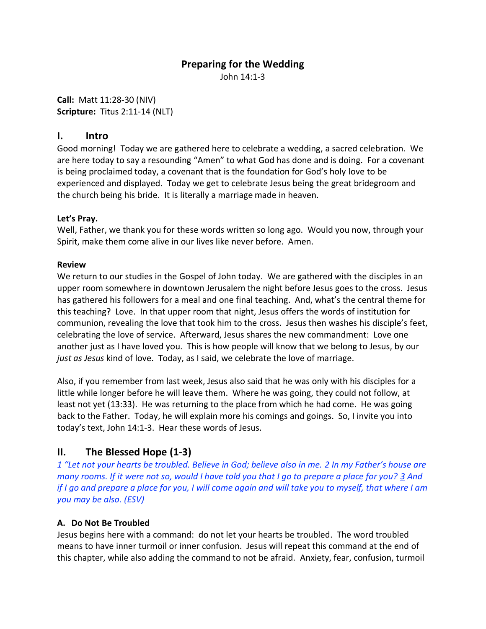## **Preparing for the Wedding**

John 14:1-3

**Call:** Matt 11:28-30 (NIV) **Scripture:** Titus 2:11-14 (NLT)

### **I. Intro**

Good morning! Today we are gathered here to celebrate a wedding, a sacred celebration. We are here today to say a resounding "Amen" to what God has done and is doing. For a covenant is being proclaimed today, a covenant that is the foundation for God's holy love to be experienced and displayed. Today we get to celebrate Jesus being the great bridegroom and the church being his bride. It is literally a marriage made in heaven.

#### **Let's Pray.**

Well, Father, we thank you for these words written so long ago. Would you now, through your Spirit, make them come alive in our lives like never before. Amen.

#### **Review**

We return to our studies in the Gospel of John today. We are gathered with the disciples in an upper room somewhere in downtown Jerusalem the night before Jesus goes to the cross. Jesus has gathered his followers for a meal and one final teaching. And, what's the central theme for this teaching? Love. In that upper room that night, Jesus offers the words of institution for communion, revealing the love that took him to the cross. Jesus then washes his disciple's feet, celebrating the love of service. Afterward, Jesus shares the new commandment: Love one another just as I have loved you. This is how people will know that we belong to Jesus, by our *just as Jesus* kind of love. Today, as I said, we celebrate the love of marriage.

Also, if you remember from last week, Jesus also said that he was only with his disciples for a little while longer before he will leave them. Where he was going, they could not follow, at least not yet (13:33). He was returning to the place from which he had come. He was going back to the Father. Today, he will explain more his comings and goings. So, I invite you into today's text, John 14:1-3. Hear these words of Jesus.

## **II. The Blessed Hope (1-3)**

*1 "Let not your hearts be troubled. Believe in God; believe also in me. 2 In my Father's house are many rooms. If it were not so, would I have told you that I go to prepare a place for you? 3 And if I go and prepare a place for you, I will come again and will take you to myself, that where I am you may be also. (ESV)*

#### **A. Do Not Be Troubled**

Jesus begins here with a command: do not let your hearts be troubled. The word troubled means to have inner turmoil or inner confusion. Jesus will repeat this command at the end of this chapter, while also adding the command to not be afraid. Anxiety, fear, confusion, turmoil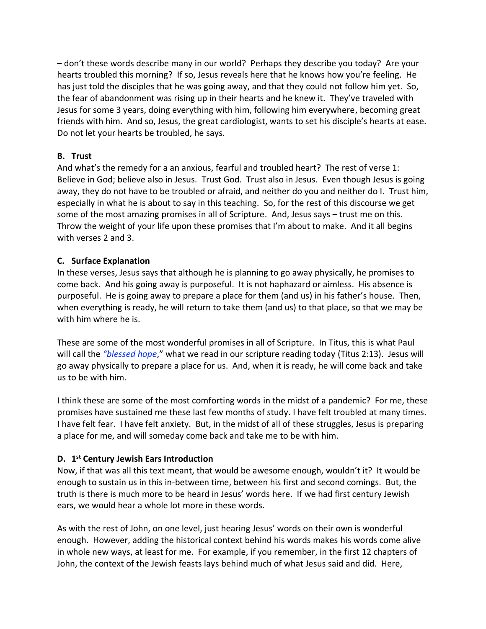– don't these words describe many in our world? Perhaps they describe you today? Are your hearts troubled this morning? If so, Jesus reveals here that he knows how you're feeling. He has just told the disciples that he was going away, and that they could not follow him yet. So, the fear of abandonment was rising up in their hearts and he knew it. They've traveled with Jesus for some 3 years, doing everything with him, following him everywhere, becoming great friends with him. And so, Jesus, the great cardiologist, wants to set his disciple's hearts at ease. Do not let your hearts be troubled, he says.

### **B. Trust**

And what's the remedy for a an anxious, fearful and troubled heart? The rest of verse 1: Believe in God; believe also in Jesus. Trust God. Trust also in Jesus. Even though Jesus is going away, they do not have to be troubled or afraid, and neither do you and neither do I. Trust him, especially in what he is about to say in this teaching. So, for the rest of this discourse we get some of the most amazing promises in all of Scripture. And, Jesus says – trust me on this. Throw the weight of your life upon these promises that I'm about to make. And it all begins with verses 2 and 3.

#### **C. Surface Explanation**

In these verses, Jesus says that although he is planning to go away physically, he promises to come back. And his going away is purposeful. It is not haphazard or aimless. His absence is purposeful. He is going away to prepare a place for them (and us) in his father's house. Then, when everything is ready, he will return to take them (and us) to that place, so that we may be with him where he is.

These are some of the most wonderful promises in all of Scripture. In Titus, this is what Paul will call the *"blessed hope*," what we read in our scripture reading today (Titus 2:13). Jesus will go away physically to prepare a place for us. And, when it is ready, he will come back and take us to be with him.

I think these are some of the most comforting words in the midst of a pandemic? For me, these promises have sustained me these last few months of study. I have felt troubled at many times. I have felt fear. I have felt anxiety. But, in the midst of all of these struggles, Jesus is preparing a place for me, and will someday come back and take me to be with him.

#### **D. 1 st Century Jewish Ears Introduction**

Now, if that was all this text meant, that would be awesome enough, wouldn't it? It would be enough to sustain us in this in-between time, between his first and second comings. But, the truth is there is much more to be heard in Jesus' words here. If we had first century Jewish ears, we would hear a whole lot more in these words.

As with the rest of John, on one level, just hearing Jesus' words on their own is wonderful enough. However, adding the historical context behind his words makes his words come alive in whole new ways, at least for me. For example, if you remember, in the first 12 chapters of John, the context of the Jewish feasts lays behind much of what Jesus said and did. Here,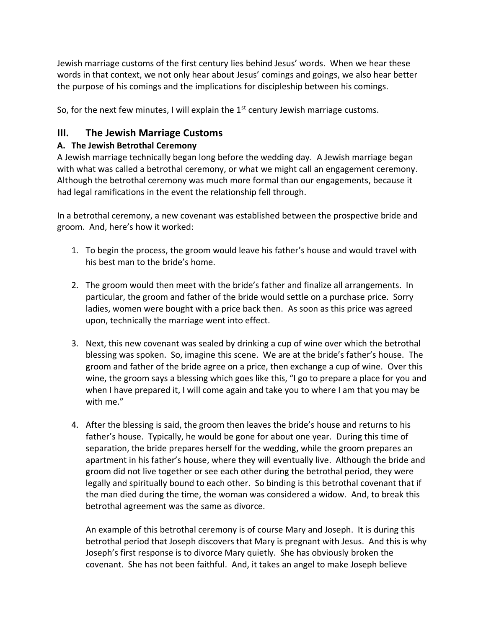Jewish marriage customs of the first century lies behind Jesus' words. When we hear these words in that context, we not only hear about Jesus' comings and goings, we also hear better the purpose of his comings and the implications for discipleship between his comings.

So, for the next few minutes, I will explain the  $1<sup>st</sup>$  century Jewish marriage customs.

# **III. The Jewish Marriage Customs**

## **A. The Jewish Betrothal Ceremony**

A Jewish marriage technically began long before the wedding day. A Jewish marriage began with what was called a betrothal ceremony, or what we might call an engagement ceremony. Although the betrothal ceremony was much more formal than our engagements, because it had legal ramifications in the event the relationship fell through.

In a betrothal ceremony, a new covenant was established between the prospective bride and groom. And, here's how it worked:

- 1. To begin the process, the groom would leave his father's house and would travel with his best man to the bride's home.
- 2. The groom would then meet with the bride's father and finalize all arrangements. In particular, the groom and father of the bride would settle on a purchase price. Sorry ladies, women were bought with a price back then. As soon as this price was agreed upon, technically the marriage went into effect.
- 3. Next, this new covenant was sealed by drinking a cup of wine over which the betrothal blessing was spoken. So, imagine this scene. We are at the bride's father's house. The groom and father of the bride agree on a price, then exchange a cup of wine. Over this wine, the groom says a blessing which goes like this, "I go to prepare a place for you and when I have prepared it, I will come again and take you to where I am that you may be with me."
- 4. After the blessing is said, the groom then leaves the bride's house and returns to his father's house. Typically, he would be gone for about one year. During this time of separation, the bride prepares herself for the wedding, while the groom prepares an apartment in his father's house, where they will eventually live. Although the bride and groom did not live together or see each other during the betrothal period, they were legally and spiritually bound to each other. So binding is this betrothal covenant that if the man died during the time, the woman was considered a widow. And, to break this betrothal agreement was the same as divorce.

An example of this betrothal ceremony is of course Mary and Joseph. It is during this betrothal period that Joseph discovers that Mary is pregnant with Jesus. And this is why Joseph's first response is to divorce Mary quietly. She has obviously broken the covenant. She has not been faithful. And, it takes an angel to make Joseph believe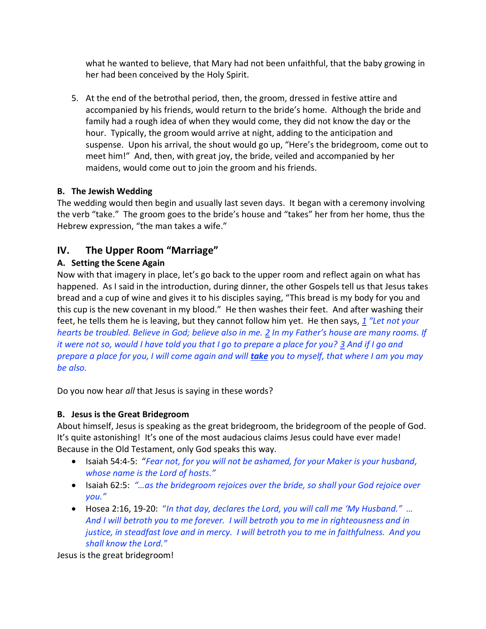what he wanted to believe, that Mary had not been unfaithful, that the baby growing in her had been conceived by the Holy Spirit.

5. At the end of the betrothal period, then, the groom, dressed in festive attire and accompanied by his friends, would return to the bride's home. Although the bride and family had a rough idea of when they would come, they did not know the day or the hour. Typically, the groom would arrive at night, adding to the anticipation and suspense. Upon his arrival, the shout would go up, "Here's the bridegroom, come out to meet him!" And, then, with great joy, the bride, veiled and accompanied by her maidens, would come out to join the groom and his friends.

## **B. The Jewish Wedding**

The wedding would then begin and usually last seven days. It began with a ceremony involving the verb "take." The groom goes to the bride's house and "takes" her from her home, thus the Hebrew expression, "the man takes a wife."

# **IV. The Upper Room "Marriage"**

## **A. Setting the Scene Again**

Now with that imagery in place, let's go back to the upper room and reflect again on what has happened. As I said in the introduction, during dinner, the other Gospels tell us that Jesus takes bread and a cup of wine and gives it to his disciples saying, "This bread is my body for you and this cup is the new covenant in my blood." He then washes their feet. And after washing their feet, he tells them he is leaving, but they cannot follow him yet. He then says, *1 "Let not your hearts be troubled. Believe in God; believe also in me. 2 In my Father's house are many rooms. If it were not so, would I have told you that I go to prepare a place for you? 3 And if I go and prepare a place for you, I will come again and will take you to myself, that where I am you may be also.*

Do you now hear *all* that Jesus is saying in these words?

## **B. Jesus is the Great Bridegroom**

About himself, Jesus is speaking as the great bridegroom, the bridegroom of the people of God. It's quite astonishing! It's one of the most audacious claims Jesus could have ever made! Because in the Old Testament, only God speaks this way.

- Isaiah 54:4-5: "*Fear not, for you will not be ashamed, for your Maker is your husband, whose name is the Lord of hosts."*
- Isaiah 62:5: *"…as the bridegroom rejoices over the bride, so shall your God rejoice over you."*
- Hosea 2:16, 19-20: "*In that day, declares the Lord, you will call me 'My Husband." … And I will betroth you to me forever. I will betroth you to me in righteousness and in justice, in steadfast love and in mercy. I will betroth you to me in faithfulness. And you shall know the Lord."*

Jesus is the great bridegroom!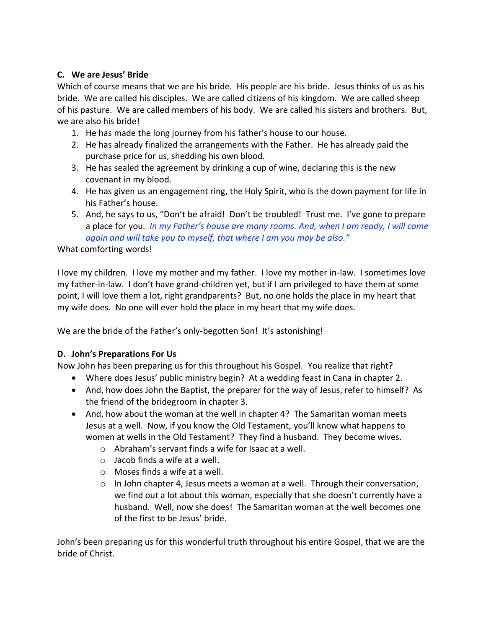#### **C. We are Jesus' Bride**

Which of course means that we are his bride. His people are his bride. Jesus thinks of us as his bride. We are called his disciples. We are called citizens of his kingdom. We are called sheep of his pasture. We are called members of his body. We are called his sisters and brothers. But, we are also his bride!

- 1. He has made the long journey from his father's house to our house.
- 2. He has already finalized the arrangements with the Father. He has already paid the purchase price for us, shedding his own blood.
- 3. He has sealed the agreement by drinking a cup of wine, declaring this is the new covenant in my blood.
- 4. He has given us an engagement ring, the Holy Spirit, who is the down payment for life in his Father's house.
- 5. And, he says to us, "Don't be afraid! Don't be troubled! Trust me. I've gone to prepare a place for you. *In my Father's house are many rooms. And, when I am ready, I will come again and will take you to myself, that where I am you may be also."*

What comforting words!

I love my children. I love my mother and my father. I love my mother in-law. I sometimes love my father-in-law. I don't have grand-children yet, but if I am privileged to have them at some point, I will love them a lot, right grandparents? But, no one holds the place in my heart that my wife does. No one will ever hold the place in my heart that my wife does.

We are the bride of the Father's only-begotten Son! It's astonishing!

#### **D. John's Preparations For Us**

Now John has been preparing us for this throughout his Gospel. You realize that right?

- Where does Jesus' public ministry begin? At a wedding feast in Cana in chapter 2.
- And, how does John the Baptist, the preparer for the way of Jesus, refer to himself? As the friend of the bridegroom in chapter 3.
- And, how about the woman at the well in chapter 4? The Samaritan woman meets Jesus at a well. Now, if you know the Old Testament, you'll know what happens to women at wells in the Old Testament? They find a husband. They become wives.
	- o Abraham's servant finds a wife for Isaac at a well.
	- o Jacob finds a wife at a well.
	- o Moses finds a wife at a well.
	- $\circ$  In John chapter 4, Jesus meets a woman at a well. Through their conversation, we find out a lot about this woman, especially that she doesn't currently have a husband. Well, now she does! The Samaritan woman at the well becomes one of the first to be Jesus' bride.

John's been preparing us for this wonderful truth throughout his entire Gospel, that we are the bride of Christ.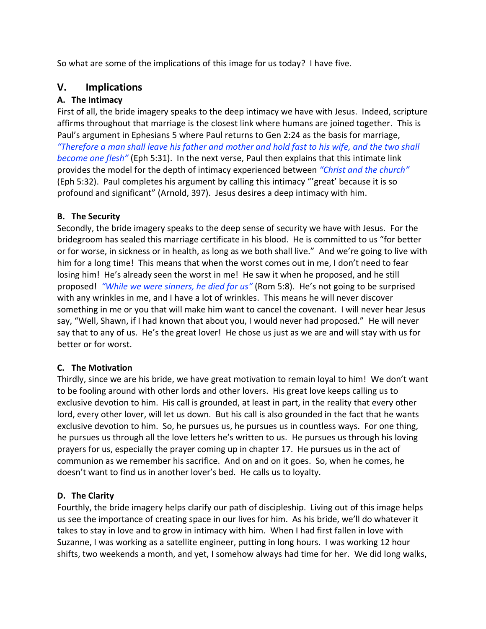So what are some of the implications of this image for us today? I have five.

## **V. Implications**

## **A. The Intimacy**

First of all, the bride imagery speaks to the deep intimacy we have with Jesus. Indeed, scripture affirms throughout that marriage is the closest link where humans are joined together. This is Paul's argument in Ephesians 5 where Paul returns to Gen 2:24 as the basis for marriage, *"Therefore a man shall leave his father and mother and hold fast to his wife, and the two shall become one flesh"* (Eph 5:31). In the next verse, Paul then explains that this intimate link provides the model for the depth of intimacy experienced between *"Christ and the church"* (Eph 5:32). Paul completes his argument by calling this intimacy "'great' because it is so profound and significant" (Arnold, 397). Jesus desires a deep intimacy with him.

### **B. The Security**

Secondly, the bride imagery speaks to the deep sense of security we have with Jesus. For the bridegroom has sealed this marriage certificate in his blood. He is committed to us "for better or for worse, in sickness or in health, as long as we both shall live." And we're going to live with him for a long time! This means that when the worst comes out in me, I don't need to fear losing him! He's already seen the worst in me! He saw it when he proposed, and he still proposed! *"While we were sinners, he died for us"* (Rom 5:8). He's not going to be surprised with any wrinkles in me, and I have a lot of wrinkles. This means he will never discover something in me or you that will make him want to cancel the covenant. I will never hear Jesus say, "Well, Shawn, if I had known that about you, I would never had proposed." He will never say that to any of us. He's the great lover! He chose us just as we are and will stay with us for better or for worst.

#### **C. The Motivation**

Thirdly, since we are his bride, we have great motivation to remain loyal to him! We don't want to be fooling around with other lords and other lovers. His great love keeps calling us to exclusive devotion to him. His call is grounded, at least in part, in the reality that every other lord, every other lover, will let us down. But his call is also grounded in the fact that he wants exclusive devotion to him. So, he pursues us, he pursues us in countless ways. For one thing, he pursues us through all the love letters he's written to us. He pursues us through his loving prayers for us, especially the prayer coming up in chapter 17. He pursues us in the act of communion as we remember his sacrifice. And on and on it goes. So, when he comes, he doesn't want to find us in another lover's bed. He calls us to loyalty.

## **D. The Clarity**

Fourthly, the bride imagery helps clarify our path of discipleship. Living out of this image helps us see the importance of creating space in our lives for him. As his bride, we'll do whatever it takes to stay in love and to grow in intimacy with him. When I had first fallen in love with Suzanne, I was working as a satellite engineer, putting in long hours. I was working 12 hour shifts, two weekends a month, and yet, I somehow always had time for her. We did long walks,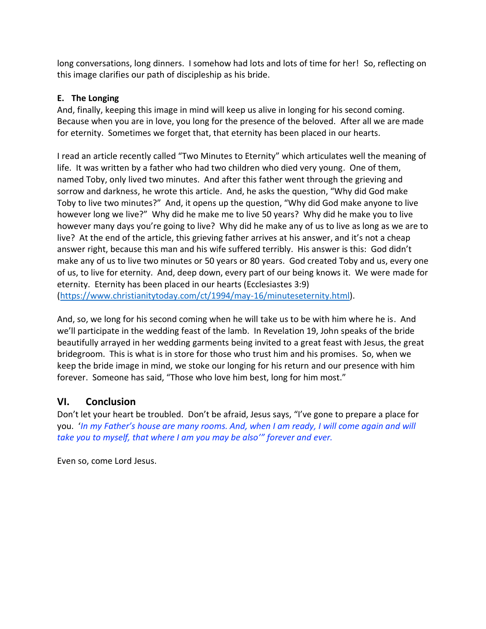long conversations, long dinners. I somehow had lots and lots of time for her! So, reflecting on this image clarifies our path of discipleship as his bride.

### **E. The Longing**

And, finally, keeping this image in mind will keep us alive in longing for his second coming. Because when you are in love, you long for the presence of the beloved. After all we are made for eternity. Sometimes we forget that, that eternity has been placed in our hearts.

I read an article recently called "Two Minutes to Eternity" which articulates well the meaning of life. It was written by a father who had two children who died very young. One of them, named Toby, only lived two minutes. And after this father went through the grieving and sorrow and darkness, he wrote this article. And, he asks the question, "Why did God make Toby to live two minutes?" And, it opens up the question, "Why did God make anyone to live however long we live?" Why did he make me to live 50 years? Why did he make you to live however many days you're going to live? Why did he make any of us to live as long as we are to live? At the end of the article, this grieving father arrives at his answer, and it's not a cheap answer right, because this man and his wife suffered terribly. His answer is this: God didn't make any of us to live two minutes or 50 years or 80 years. God created Toby and us, every one of us, to live for eternity. And, deep down, every part of our being knows it. We were made for eternity. Eternity has been placed in our hearts (Ecclesiastes 3:9) [\(https://www.christianitytoday.com/ct/1994/may-16/minuteseternity.html\)](https://www.christianitytoday.com/ct/1994/may-16/minuteseternity.html).

And, so, we long for his second coming when he will take us to be with him where he is. And we'll participate in the wedding feast of the lamb. In Revelation 19, John speaks of the bride beautifully arrayed in her wedding garments being invited to a great feast with Jesus, the great bridegroom. This is what is in store for those who trust him and his promises. So, when we keep the bride image in mind, we stoke our longing for his return and our presence with him forever. Someone has said, "Those who love him best, long for him most."

## **VI. Conclusion**

Don't let your heart be troubled. Don't be afraid, Jesus says, "I've gone to prepare a place for you. '*In my Father's house are many rooms. And, when I am ready, I will come again and will take you to myself, that where I am you may be also'" forever and ever.*

Even so, come Lord Jesus.